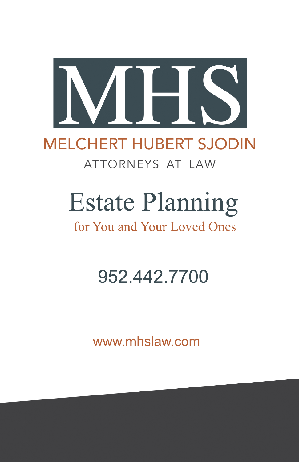

### **MELCHERT HUBERT SJODIN** ATTORNEYS AT LAW

# **Estate Planning**

### for You and Your Loved Ones

### 952.442.7700

www.mhslaw.com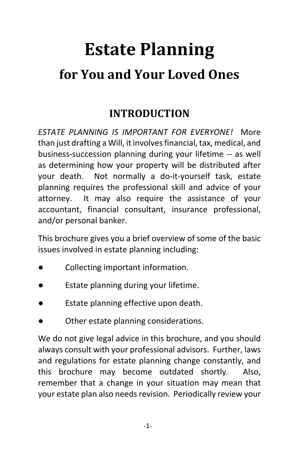## **Estate Planning for You and Your Loved Ones**

#### **INTRODUCTION**

*ESTATE PLANNING IS IMPORTANT FOR EVERYONE!* More than just drafting a Will, it involves financial, tax, medical, and business-succession planning during your lifetime -- as well as determining how your property will be distributed after your death. Not normally a do-it-yourself task, estate planning requires the professional skill and advice of your attorney. It may also require the assistance of your accountant, financial consultant, insurance professional, and/or personal banker.

This brochure gives you a brief overview of some of the basic issues involved in estate planning including:

- Collecting important information.
- Estate planning during your lifetime.
- Estate planning effective upon death.
- Other estate planning considerations.

We do not give legal advice in this brochure, and you should always consult with your professional advisors. Further, laws and regulations for estate planning change constantly, and this brochure may become outdated shortly. Also, remember that a change in your situation may mean that your estate plan also needs revision. Periodically review your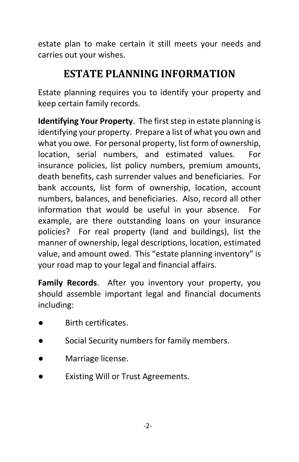estate plan to make certain it still meets your needs and carries out your wishes.

#### **ESTATE PLANNING INFORMATION**

Estate planning requires you to identify your property and keep certain family records.

**Identifying Your Property**. The first step in estate planning is identifying your property. Prepare a list of what you own and what you owe. For personal property, list form of ownership, location, serial numbers, and estimated values. For insurance policies, list policy numbers, premium amounts, death benefits, cash surrender values and beneficiaries. For bank accounts, list form of ownership, location, account numbers, balances, and beneficiaries. Also, record all other information that would be useful in your absence. For example, are there outstanding loans on your insurance policies? For real property (land and buildings), list the manner of ownership, legal descriptions, location, estimated value, and amount owed. This "estate planning inventory" is your road map to your legal and financial affairs.

**Family Records**. After you inventory your property, you should assemble important legal and financial documents including:

- Birth certificates.
- Social Security numbers for family members.
- Marriage license.
- **Existing Will or Trust Agreements.**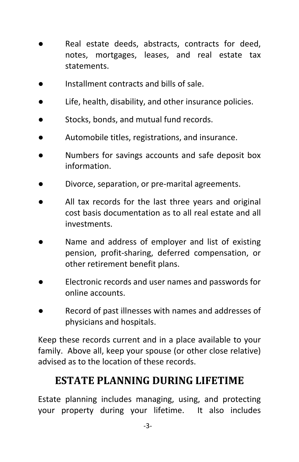- Real estate deeds, abstracts, contracts for deed, notes, mortgages, leases, and real estate tax statements.
- Installment contracts and bills of sale.
- Life, health, disability, and other insurance policies.
- Stocks, bonds, and mutual fund records.
- Automobile titles, registrations, and insurance.
- Numbers for savings accounts and safe deposit box information.
- Divorce, separation, or pre-marital agreements.
- All tax records for the last three years and original cost basis documentation as to all real estate and all investments.
- Name and address of employer and list of existing pension, profit-sharing, deferred compensation, or other retirement benefit plans.
- Electronic records and user names and passwords for online accounts.
- Record of past illnesses with names and addresses of physicians and hospitals.

Keep these records current and in a place available to your family. Above all, keep your spouse (or other close relative) advised as to the location of these records.

#### **ESTATE PLANNING DURING LIFETIME**

Estate planning includes managing, using, and protecting your property during your lifetime. It also includes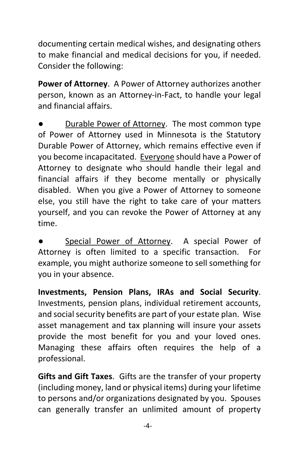documenting certain medical wishes, and designating others to make financial and medical decisions for you, if needed. Consider the following:

**Power of Attorney**. A Power of Attorney authorizes another person, known as an Attorney-in-Fact, to handle your legal and financial affairs.

Durable Power of Attorney. The most common type of Power of Attorney used in Minnesota is the Statutory Durable Power of Attorney, which remains effective even if you become incapacitated. Everyone should have a Power of Attorney to designate who should handle their legal and financial affairs if they become mentally or physically disabled. When you give a Power of Attorney to someone else, you still have the right to take care of your matters yourself, and you can revoke the Power of Attorney at any time.

Special Power of Attorney. A special Power of Attorney is often limited to a specific transaction. For example, you might authorize someone to sell something for you in your absence.

**Investments, Pension Plans, IRAs and Social Security**. Investments, pension plans, individual retirement accounts, and social security benefits are part of your estate plan. Wise asset management and tax planning will insure your assets provide the most benefit for you and your loved ones. Managing these affairs often requires the help of a professional.

**Gifts and Gift Taxes**. Gifts are the transfer of your property (including money, land or physical items) during your lifetime to persons and/or organizations designated by you. Spouses can generally transfer an unlimited amount of property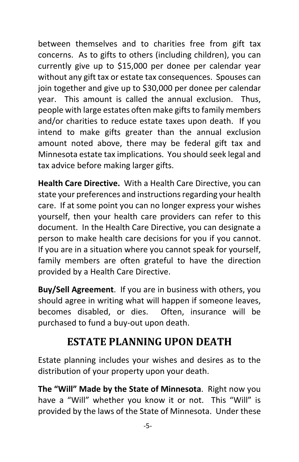between themselves and to charities free from gift tax concerns. As to gifts to others (including children), you can currently give up to \$15,000 per donee per calendar year without any gift tax or estate tax consequences. Spouses can join together and give up to \$30,000 per donee per calendar year. This amount is called the annual exclusion. Thus, people with large estates often make gifts to family members and/or charities to reduce estate taxes upon death. If you intend to make gifts greater than the annual exclusion amount noted above, there may be federal gift tax and Minnesota estate tax implications. You should seek legal and tax advice before making larger gifts.

**Health Care Directive.** With a Health Care Directive, you can state your preferences and instructions regarding your health care. If at some point you can no longer express your wishes yourself, then your health care providers can refer to this document. In the Health Care Directive, you can designate a person to make health care decisions for you if you cannot. If you are in a situation where you cannot speak for yourself, family members are often grateful to have the direction provided by a Health Care Directive.

**Buy/Sell Agreement**. If you are in business with others, you should agree in writing what will happen if someone leaves, becomes disabled, or dies. Often, insurance will be purchased to fund a buy-out upon death.

#### **ESTATE PLANNING UPON DEATH**

Estate planning includes your wishes and desires as to the distribution of your property upon your death.

**The "Will" Made by the State of Minnesota**. Right now you have a "Will" whether you know it or not. This "Will" is provided by the laws of the State of Minnesota. Under these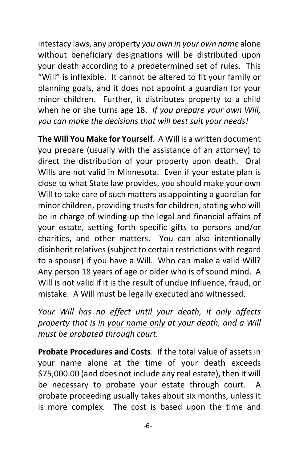intestacy laws, any property *you own in your own name* alone without beneficiary designations will be distributed upon your death according to a predetermined set of rules. This "Will" is inflexible. It cannot be altered to fit your family or planning goals, and it does not appoint a guardian for your minor children. Further, it distributes property to a child when he or she turns age 18. *If you prepare your own Will, you can make the decisions that will best suit your needs!*

**The Will You Make for Yourself**. A Will is a written document you prepare (usually with the assistance of an attorney) to direct the distribution of your property upon death. Oral Wills are not valid in Minnesota. Even if your estate plan is close to what State law provides, you should make your own Will to take care of such matters as appointing a guardian for minor children, providing trusts for children, stating who will be in charge of winding-up the legal and financial affairs of your estate, setting forth specific gifts to persons and/or charities, and other matters. You can also intentionally disinherit relatives (subject to certain restrictions with regard to a spouse) if you have a Will. Who can make a valid Will? Any person 18 years of age or older who is of sound mind. A Will is not valid if it is the result of undue influence, fraud, or mistake. A Will must be legally executed and witnessed.

*Your Will has no effect until your death, it only affects property that is in your name only at your death, and a Will must be probated through court.*

**Probate Procedures and Costs**. If the total value of assets in your name alone at the time of your death exceeds \$75,000.00 (and does not include any real estate), then it will be necessary to probate your estate through court. probate proceeding usually takes about six months, unless it is more complex. The cost is based upon the time and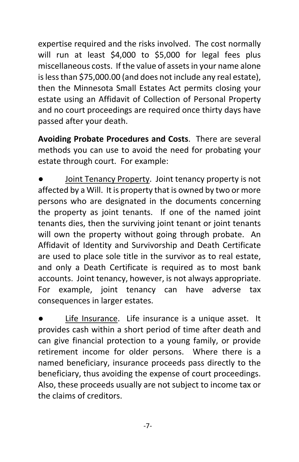expertise required and the risks involved. The cost normally will run at least \$4,000 to \$5,000 for legal fees plus miscellaneous costs. If the value of assets in your name alone is less than \$75,000.00 (and does not include any real estate), then the Minnesota Small Estates Act permits closing your estate using an Affidavit of Collection of Personal Property and no court proceedings are required once thirty days have passed after your death.

**Avoiding Probate Procedures and Costs**. There are several methods you can use to avoid the need for probating your estate through court. For example:

Joint Tenancy Property. Joint tenancy property is not affected by a Will. It is property that is owned by two or more persons who are designated in the documents concerning the property as joint tenants. If one of the named joint tenants dies, then the surviving joint tenant or joint tenants will own the property without going through probate. An Affidavit of Identity and Survivorship and Death Certificate are used to place sole title in the survivor as to real estate, and only a Death Certificate is required as to most bank accounts. Joint tenancy, however, is not always appropriate. For example, joint tenancy can have adverse tax consequences in larger estates.

Life Insurance. Life insurance is a unique asset. It provides cash within a short period of time after death and can give financial protection to a young family, or provide retirement income for older persons. Where there is a named beneficiary, insurance proceeds pass directly to the beneficiary, thus avoiding the expense of court proceedings. Also, these proceeds usually are not subject to income tax or the claims of creditors.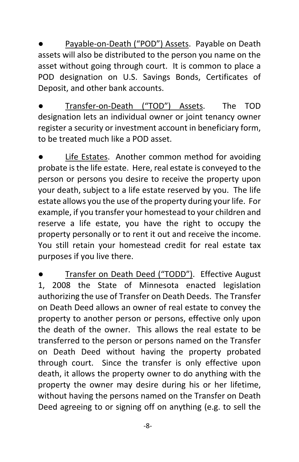Payable-on-Death ("POD") Assets. Payable on Death assets will also be distributed to the person you name on the asset without going through court. It is common to place a POD designation on U.S. Savings Bonds, Certificates of Deposit, and other bank accounts.

Transfer-on-Death ("TOD") Assets. The TOD designation lets an individual owner or joint tenancy owner register a security or investment account in beneficiary form, to be treated much like a POD asset.

Life Estates. Another common method for avoiding probate is the life estate. Here, real estate is conveyed to the person or persons you desire to receive the property upon your death, subject to a life estate reserved by you. The life estate allows you the use of the property during your life. For example, if you transfer your homestead to your children and reserve a life estate, you have the right to occupy the property personally or to rent it out and receive the income. You still retain your homestead credit for real estate tax purposes if you live there.

Transfer on Death Deed ("TODD"). Effective August 1, 2008 the State of Minnesota enacted legislation authorizing the use of Transfer on Death Deeds. The Transfer on Death Deed allows an owner of real estate to convey the property to another person or persons, effective only upon the death of the owner. This allows the real estate to be transferred to the person or persons named on the Transfer on Death Deed without having the property probated through court. Since the transfer is only effective upon death, it allows the property owner to do anything with the property the owner may desire during his or her lifetime, without having the persons named on the Transfer on Death Deed agreeing to or signing off on anything (e.g. to sell the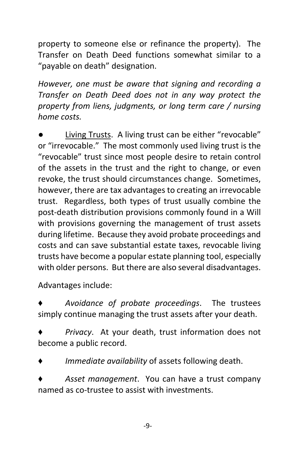property to someone else or refinance the property). The Transfer on Death Deed functions somewhat similar to a "payable on death" designation.

*However, one must be aware that signing and recording a Transfer on Death Deed does not in any way protect the property from liens, judgments, or long term care / nursing home costs.*

Living Trusts. A living trust can be either "revocable" or "irrevocable." The most commonly used living trust is the "revocable" trust since most people desire to retain control of the assets in the trust and the right to change, or even revoke, the trust should circumstances change. Sometimes, however, there are tax advantages to creating an irrevocable trust. Regardless, both types of trust usually combine the post-death distribution provisions commonly found in a Will with provisions governing the management of trust assets during lifetime. Because they avoid probate proceedings and costs and can save substantial estate taxes, revocable living trusts have become a popular estate planning tool, especially with older persons. But there are also several disadvantages.

Advantages include:

Avoidance of probate proceedings. The trustees simply continue managing the trust assets after your death.

Privacy. At your death, trust information does not become a public record.

*Immediate availability* of assets following death.

Asset management. You can have a trust company named as co-trustee to assist with investments.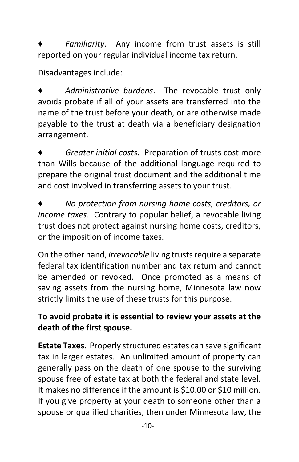Familiarity. Any income from trust assets is still reported on your regular individual income tax return.

Disadvantages include:

Administrative burdens. The revocable trust only avoids probate if all of your assets are transferred into the name of the trust before your death, or are otherwise made payable to the trust at death via a beneficiary designation arrangement.

Greater initial costs. Preparation of trusts cost more than Wills because of the additional language required to prepare the original trust document and the additional time and cost involved in transferring assets to your trust.

♦ *No protection from nursing home costs, creditors, or income taxes*. Contrary to popular belief, a revocable living trust does not protect against nursing home costs, creditors, or the imposition of income taxes.

On the other hand, *irrevocable* living trusts require a separate federal tax identification number and tax return and cannot be amended or revoked. Once promoted as a means of saving assets from the nursing home, Minnesota law now strictly limits the use of these trusts for this purpose.

#### **To avoid probate it is essential to review your assets at the death of the first spouse.**

**Estate Taxes**. Properly structured estates can save significant tax in larger estates. An unlimited amount of property can generally pass on the death of one spouse to the surviving spouse free of estate tax at both the federal and state level. It makes no difference if the amount is \$10.00 or \$10 million. If you give property at your death to someone other than a spouse or qualified charities, then under Minnesota law, the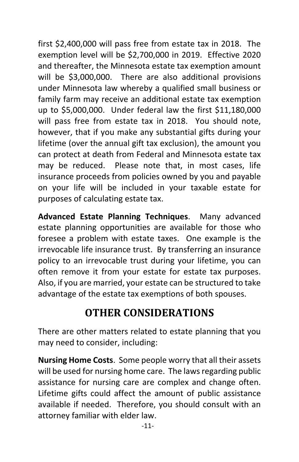first \$2,400,000 will pass free from estate tax in 2018. The exemption level will be \$2,700,000 in 2019. Effective 2020 and thereafter, the Minnesota estate tax exemption amount will be \$3,000,000. There are also additional provisions under Minnesota law whereby a qualified small business or family farm may receive an additional estate tax exemption up to \$5,000,000. Under federal law the first \$11,180,000 will pass free from estate tax in 2018. You should note, however, that if you make any substantial gifts during your lifetime (over the annual gift tax exclusion), the amount you can protect at death from Federal and Minnesota estate tax may be reduced. Please note that, in most cases, life insurance proceeds from policies owned by you and payable on your life will be included in your taxable estate for purposes of calculating estate tax.

**Advanced Estate Planning Techniques**. Many advanced estate planning opportunities are available for those who foresee a problem with estate taxes. One example is the irrevocable life insurance trust. By transferring an insurance policy to an irrevocable trust during your lifetime, you can often remove it from your estate for estate tax purposes. Also, if you are married, your estate can be structured to take advantage of the estate tax exemptions of both spouses.

#### **OTHER CONSIDERATIONS**

There are other matters related to estate planning that you may need to consider, including:

**Nursing Home Costs**. Some people worry that all their assets will be used for nursing home care. The laws regarding public assistance for nursing care are complex and change often. Lifetime gifts could affect the amount of public assistance available if needed. Therefore, you should consult with an attorney familiar with elder law.